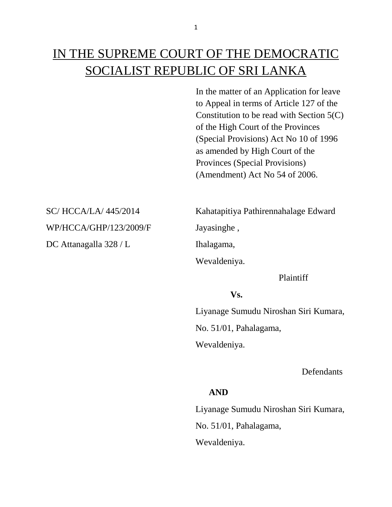# IN THE SUPREME COURT OF THE DEMOCRATIC SOCIALIST REPUBLIC OF SRI LANKA

In the matter of an Application for leave to Appeal in terms of Article 127 of the Constitution to be read with Section 5(C) of the High Court of the Provinces (Special Provisions) Act No 10 of 1996 as amended by High Court of the Provinces (Special Provisions) (Amendment) Act No 54 of 2006.

WP/HCCA/GHP/123/2009/F Jayasinghe,

DC Attanagalla 328 / L Ihalagama,

SC/ HCCA/LA/ 445/2014 Kahatapitiya Pathirennahalage Edward

Wevaldeniya.

Plaintiff

## **Vs.**

 Liyanage Sumudu Niroshan Siri Kumara, No. 51/01, Pahalagama, Wevaldeniya.

**Defendants** 

# **AND**

 Liyanage Sumudu Niroshan Siri Kumara, No. 51/01, Pahalagama, Wevaldeniya.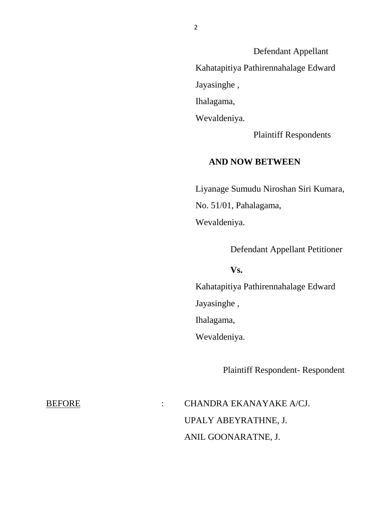Defendant Appellant Kahatapitiya Pathirennahalage Edward Jayasinghe , Ihalagama, Wevaldeniya.

Plaintiff Respondents

## **AND NOW BETWEEN**

 Liyanage Sumudu Niroshan Siri Kumara, No. 51/01, Pahalagama, Wevaldeniya.

Defendant Appellant Petitioner

### **Vs.**

 Kahatapitiya Pathirennahalage Edward Jayasinghe , Ihalagama,

Wevaldeniya.

Plaintiff Respondent- Respondent

BEFORE : CHANDRA EKANAYAKE A/CJ. UPALY ABEYRATHNE, J. ANIL GOONARATNE, J.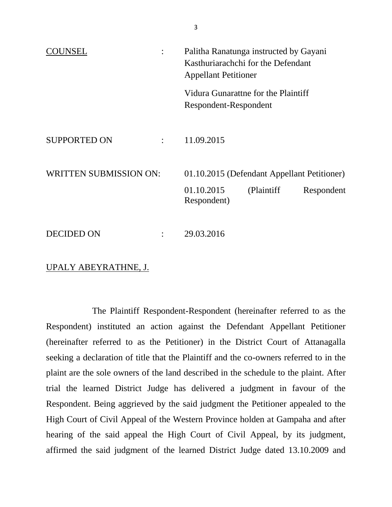| Palitha Ranatunga instructed by Gayani<br>Kasthuriarachchi for the Defendant<br><b>Appellant Petitioner</b> |
|-------------------------------------------------------------------------------------------------------------|
| Vidura Gunarattne for the Plaintiff<br>Respondent-Respondent                                                |
| 11.09.2015                                                                                                  |
| 01.10.2015 (Defendant Appellant Petitioner)<br>01.10.2015<br>(Plaintiff)<br>Respondent                      |
| Respondent)<br>29.03.2016                                                                                   |
|                                                                                                             |

### UPALY ABEYRATHNE, J.

The Plaintiff Respondent-Respondent (hereinafter referred to as the Respondent) instituted an action against the Defendant Appellant Petitioner (hereinafter referred to as the Petitioner) in the District Court of Attanagalla seeking a declaration of title that the Plaintiff and the co-owners referred to in the plaint are the sole owners of the land described in the schedule to the plaint. After trial the learned District Judge has delivered a judgment in favour of the Respondent. Being aggrieved by the said judgment the Petitioner appealed to the High Court of Civil Appeal of the Western Province holden at Gampaha and after hearing of the said appeal the High Court of Civil Appeal, by its judgment, affirmed the said judgment of the learned District Judge dated 13.10.2009 and

3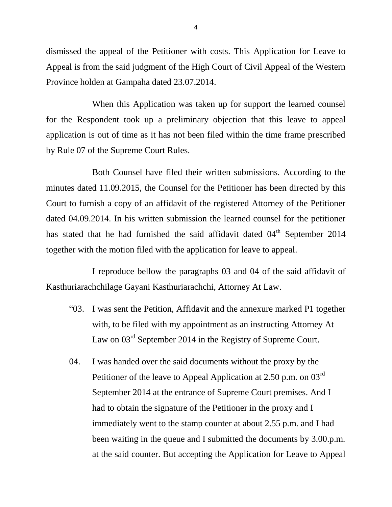dismissed the appeal of the Petitioner with costs. This Application for Leave to Appeal is from the said judgment of the High Court of Civil Appeal of the Western Province holden at Gampaha dated 23.07.2014.

When this Application was taken up for support the learned counsel for the Respondent took up a preliminary objection that this leave to appeal application is out of time as it has not been filed within the time frame prescribed by Rule 07 of the Supreme Court Rules.

Both Counsel have filed their written submissions. According to the minutes dated 11.09.2015, the Counsel for the Petitioner has been directed by this Court to furnish a copy of an affidavit of the registered Attorney of the Petitioner dated 04.09.2014. In his written submission the learned counsel for the petitioner has stated that he had furnished the said affidavit dated  $04<sup>th</sup>$  September 2014 together with the motion filed with the application for leave to appeal.

I reproduce bellow the paragraphs 03 and 04 of the said affidavit of Kasthuriarachchilage Gayani Kasthuriarachchi, Attorney At Law.

- "03. I was sent the Petition, Affidavit and the annexure marked P1 together with, to be filed with my appointment as an instructing Attorney At Law on  $03<sup>rd</sup>$  September 2014 in the Registry of Supreme Court.
- 04. I was handed over the said documents without the proxy by the Petitioner of the leave to Appeal Application at 2.50 p.m. on 03<sup>rd</sup> September 2014 at the entrance of Supreme Court premises. And I had to obtain the signature of the Petitioner in the proxy and I immediately went to the stamp counter at about 2.55 p.m. and I had been waiting in the queue and I submitted the documents by 3.00.p.m. at the said counter. But accepting the Application for Leave to Appeal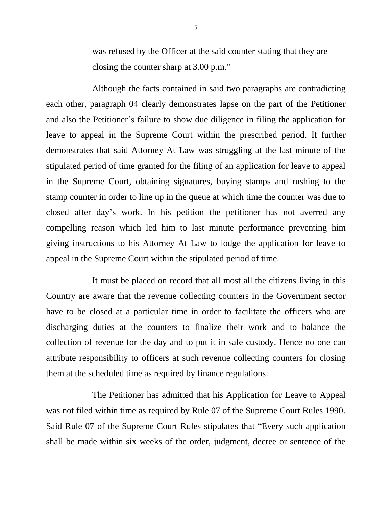was refused by the Officer at the said counter stating that they are closing the counter sharp at 3.00 p.m."

Although the facts contained in said two paragraphs are contradicting each other, paragraph 04 clearly demonstrates lapse on the part of the Petitioner and also the Petitioner's failure to show due diligence in filing the application for leave to appeal in the Supreme Court within the prescribed period. It further demonstrates that said Attorney At Law was struggling at the last minute of the stipulated period of time granted for the filing of an application for leave to appeal in the Supreme Court, obtaining signatures, buying stamps and rushing to the stamp counter in order to line up in the queue at which time the counter was due to closed after day's work. In his petition the petitioner has not averred any compelling reason which led him to last minute performance preventing him giving instructions to his Attorney At Law to lodge the application for leave to appeal in the Supreme Court within the stipulated period of time.

It must be placed on record that all most all the citizens living in this Country are aware that the revenue collecting counters in the Government sector have to be closed at a particular time in order to facilitate the officers who are discharging duties at the counters to finalize their work and to balance the collection of revenue for the day and to put it in safe custody. Hence no one can attribute responsibility to officers at such revenue collecting counters for closing them at the scheduled time as required by finance regulations.

The Petitioner has admitted that his Application for Leave to Appeal was not filed within time as required by Rule 07 of the Supreme Court Rules 1990. Said Rule 07 of the Supreme Court Rules stipulates that "Every such application shall be made within six weeks of the order, judgment, decree or sentence of the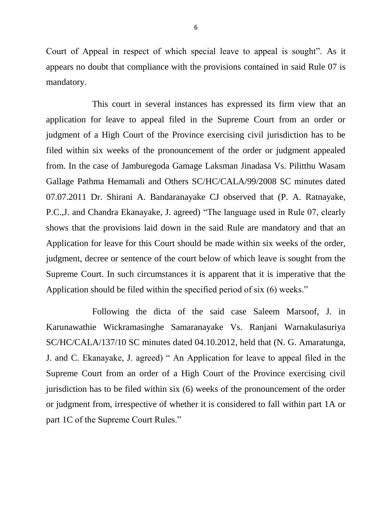Court of Appeal in respect of which special leave to appeal is sought". As it appears no doubt that compliance with the provisions contained in said Rule 07 is mandatory.

This court in several instances has expressed its firm view that an application for leave to appeal filed in the Supreme Court from an order or judgment of a High Court of the Province exercising civil jurisdiction has to be filed within six weeks of the pronouncement of the order or judgment appealed from. In the case of Jamburegoda Gamage Laksman Jinadasa Vs. Pilitthu Wasam Gallage Pathma Hemamali and Others SC/HC/CALA/99/2008 SC minutes dated 07.07.2011 Dr. Shirani A. Bandaranayake CJ observed that (P. A. Ratnayake, P.C.,J. and Chandra Ekanayake, J. agreed) "The language used in Rule 07, clearly shows that the provisions laid down in the said Rule are mandatory and that an Application for leave for this Court should be made within six weeks of the order, judgment, decree or sentence of the court below of which leave is sought from the Supreme Court. In such circumstances it is apparent that it is imperative that the Application should be filed within the specified period of six (6) weeks."

Following the dicta of the said case Saleem Marsoof, J. in Karunawathie Wickramasinghe Samaranayake Vs. Ranjani Warnakulasuriya SC/HC/CALA/137/10 SC minutes dated 04.10.2012, held that (N. G. Amaratunga, J. and C. Ekanayake, J. agreed) " An Application for leave to appeal filed in the Supreme Court from an order of a High Court of the Province exercising civil jurisdiction has to be filed within six (6) weeks of the pronouncement of the order or judgment from, irrespective of whether it is considered to fall within part 1A or part 1C of the Supreme Court Rules."